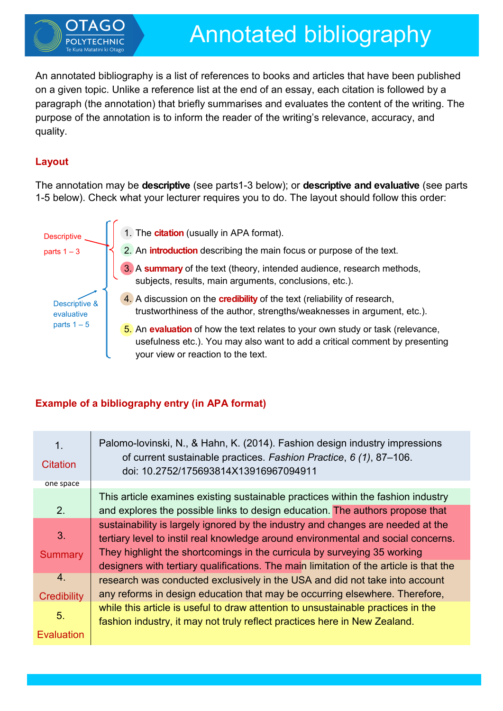

An annotated bibliography is a list of references to books and articles that have been published on a given topic. Unlike a reference list at the end of an essay, each citation is followed by a paragraph (the annotation) that briefly summarises and evaluates the content of the writing. The purpose of the annotation is to inform the reader of the writing's relevance, accuracy, and quality.

# **Layout**

The annotation may be **descriptive** (see parts1-3 below); or **descriptive and evaluative** (see parts 1-5 below). Check what your lecturer requires you to do. The layout should follow this order:



## **Example of a bibliography entry (in APA format)**

| 1.<br><b>Citation</b>                  | Palomo-lovinski, N., & Hahn, K. (2014). Fashion design industry impressions<br>of current sustainable practices. Fashion Practice, 6 (1), 87-106.<br>doi: 10.2752/175693814X13916967094911                                                           |
|----------------------------------------|------------------------------------------------------------------------------------------------------------------------------------------------------------------------------------------------------------------------------------------------------|
| one space                              |                                                                                                                                                                                                                                                      |
| 2.                                     | This article examines existing sustainable practices within the fashion industry<br>and explores the possible links to design education. The authors propose that                                                                                    |
| 3.<br><b>Summary</b>                   | sustainability is largely ignored by the industry and changes are needed at the<br>tertiary level to instil real knowledge around environmental and social concerns.<br>They highlight the shortcomings in the curricula by surveying 35 working     |
| $\overline{4}$ .<br><b>Credibility</b> | designers with tertiary qualifications. The main limitation of the article is that the<br>research was conducted exclusively in the USA and did not take into account<br>any reforms in design education that may be occurring elsewhere. Therefore, |
| 5.<br>Evaluation                       | while this article is useful to draw attention to unsustainable practices in the<br>fashion industry, it may not truly reflect practices here in New Zealand.                                                                                        |